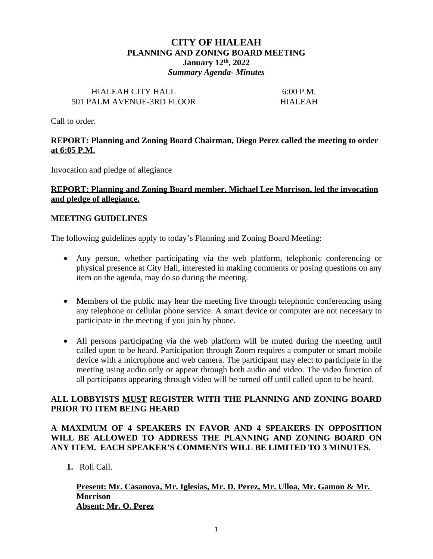# **CITY OF HIALEAH PLANNING AND ZONING BOARD MEETING January 12th, 2022** *Summary Agenda- Minutes*

#### HIALEAH CITY HALL 6:00 P.M. 501 PALM AVENUE-3RD FLOOR HIALEAH

Call to order.

## **REPORT: Planning and Zoning Board Chairman, Diego Perez called the meeting to order at 6:05 P.M.**

Invocation and pledge of allegiance

### **REPORT: Planning and Zoning Board member, Michael Lee Morrison, led the invocation and pledge of allegiance.**

#### **MEETING GUIDELINES**

The following guidelines apply to today's Planning and Zoning Board Meeting:

- Any person, whether participating via the web platform, telephonic conferencing or physical presence at City Hall, interested in making comments or posing questions on any item on the agenda, may do so during the meeting.
- Members of the public may hear the meeting live through telephonic conferencing using any telephone or cellular phone service. A smart device or computer are not necessary to participate in the meeting if you join by phone.
- All persons participating via the web platform will be muted during the meeting until called upon to be heard. Participation through Zoom requires a computer or smart mobile device with a microphone and web camera. The participant may elect to participate in the meeting using audio only or appear through both audio and video. The video function of all participants appearing through video will be turned off until called upon to be heard.

## **ALL LOBBYISTS MUST REGISTER WITH THE PLANNING AND ZONING BOARD PRIOR TO ITEM BEING HEARD**

# **A MAXIMUM OF 4 SPEAKERS IN FAVOR AND 4 SPEAKERS IN OPPOSITION WILL BE ALLOWED TO ADDRESS THE PLANNING AND ZONING BOARD ON ANY ITEM. EACH SPEAKER'S COMMENTS WILL BE LIMITED TO 3 MINUTES.**

**1.** Roll Call.

#### **Present: Mr. Casanova, Mr. Iglesias, Mr. D. Perez, Mr. Ulloa, Mr. Gamon & Mr. Morrison Absent: Mr. O. Perez**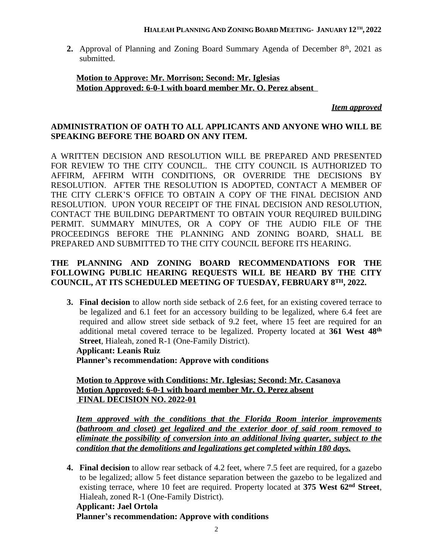### **HIALEAH PLANNING AND ZONING BOARD MEETING- JANUARY 12TH , 2022**

2. Approval of Planning and Zoning Board Summary Agenda of December 8<sup>th</sup>, 2021 as submitted.

### **Motion to Approve: Mr. Morrison; Second: Mr. Iglesias Motion Approved: 6-0-1 with board member Mr. O. Perez absent**

*Item approved*

# **ADMINISTRATION OF OATH TO ALL APPLICANTS AND ANYONE WHO WILL BE SPEAKING BEFORE THE BOARD ON ANY ITEM.**

A WRITTEN DECISION AND RESOLUTION WILL BE PREPARED AND PRESENTED FOR REVIEW TO THE CITY COUNCIL. THE CITY COUNCIL IS AUTHORIZED TO AFFIRM, AFFIRM WITH CONDITIONS, OR OVERRIDE THE DECISIONS BY RESOLUTION. AFTER THE RESOLUTION IS ADOPTED, CONTACT A MEMBER OF THE CITY CLERK'S OFFICE TO OBTAIN A COPY OF THE FINAL DECISION AND RESOLUTION. UPON YOUR RECEIPT OF THE FINAL DECISION AND RESOLUTION, CONTACT THE BUILDING DEPARTMENT TO OBTAIN YOUR REQUIRED BUILDING PERMIT. SUMMARY MINUTES, OR A COPY OF THE AUDIO FILE OF THE PROCEEDINGS BEFORE THE PLANNING AND ZONING BOARD, SHALL BE PREPARED AND SUBMITTED TO THE CITY COUNCIL BEFORE ITS HEARING.

# **THE PLANNING AND ZONING BOARD RECOMMENDATIONS FOR THE FOLLOWING PUBLIC HEARING REQUESTS WILL BE HEARD BY THE CITY COUNCIL, AT ITS SCHEDULED MEETING OF TUESDAY, FEBRUARY 8TH, 2022.**

**3. Final decision** to allow north side setback of 2.6 feet, for an existing covered terrace to be legalized and 6.1 feet for an accessory building to be legalized, where 6.4 feet are required and allow street side setback of 9.2 feet, where 15 feet are required for an additional metal covered terrace to be legalized. Property located at **361 West 48th Street**, Hialeah, zoned R-1 (One-Family District). **Applicant: Leanis Ruiz**

**Planner's recommendation: Approve with conditions**

**Motion to Approve with Conditions: Mr. Iglesias; Second: Mr. Casanova Motion Approved: 6-0-1 with board member Mr. O. Perez absent FINAL DECISION NO. 2022-01**

*Item approved with the conditions that the Florida Room interior improvements (bathroom and closet) get legalized and the exterior door of said room removed to eliminate the possibility of conversion into an additional living quarter, subject to the condition that the demolitions and legalizations get completed within 180 days.*

**4. Final decision** to allow rear setback of 4.2 feet, where 7.5 feet are required, for a gazebo to be legalized; allow 5 feet distance separation between the gazebo to be legalized and existing terrace, where 10 feet are required. Property located at **375 West 62nd Street**, Hialeah, zoned R-1 (One-Family District).

**Applicant: Jael Ortola Planner's recommendation: Approve with conditions**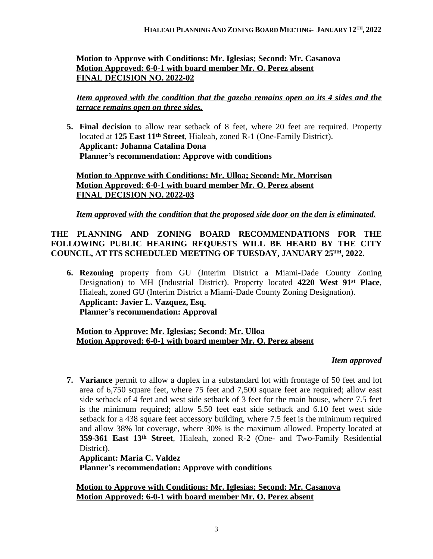# **Motion to Approve with Conditions: Mr. Iglesias; Second: Mr. Casanova Motion Approved: 6-0-1 with board member Mr. O. Perez absent FINAL DECISION NO. 2022-02**

*Item approved with the condition that the gazebo remains open on its 4 sides and the terrace remains open on three sides.*

**5. Final decision** to allow rear setback of 8 feet, where 20 feet are required. Property located at **125 East 11th Street**, Hialeah, zoned R-1 (One-Family District). **Applicant: Johanna Catalina Dona Planner's recommendation: Approve with conditions**

**Motion to Approve with Conditions: Mr. Ulloa; Second: Mr. Morrison Motion Approved: 6-0-1 with board member Mr. O. Perez absent FINAL DECISION NO. 2022-03**

## *Item approved with the condition that the proposed side door on the den is eliminated.*

# **THE PLANNING AND ZONING BOARD RECOMMENDATIONS FOR THE FOLLOWING PUBLIC HEARING REQUESTS WILL BE HEARD BY THE CITY COUNCIL, AT ITS SCHEDULED MEETING OF TUESDAY, JANUARY 25TH, 2022.**

**6. Rezoning** property from GU (Interim District a Miami-Dade County Zoning Designation) to MH (Industrial District). Property located **4220 West 91st Place**, Hialeah, zoned GU (Interim District a Miami-Dade County Zoning Designation). **Applicant: Javier L. Vazquez, Esq. Planner's recommendation: Approval**

# **Motion to Approve: Mr. Iglesias; Second: Mr. Ulloa Motion Approved: 6-0-1 with board member Mr. O. Perez absent**

#### *Item approved*

**7. Variance** permit to allow a duplex in a substandard lot with frontage of 50 feet and lot area of 6,750 square feet, where 75 feet and 7,500 square feet are required; allow east side setback of 4 feet and west side setback of 3 feet for the main house, where 7.5 feet is the minimum required; allow 5.50 feet east side setback and 6.10 feet west side setback for a 438 square feet accessory building, where 7.5 feet is the minimum required and allow 38% lot coverage, where 30% is the maximum allowed. Property located at **359-361 East 13th Street**, Hialeah, zoned R-2 (One- and Two-Family Residential District).

#### **Applicant: Maria C. Valdez**

**Planner's recommendation: Approve with conditions**

**Motion to Approve with Conditions: Mr. Iglesias; Second: Mr. Casanova Motion Approved: 6-0-1 with board member Mr. O. Perez absent**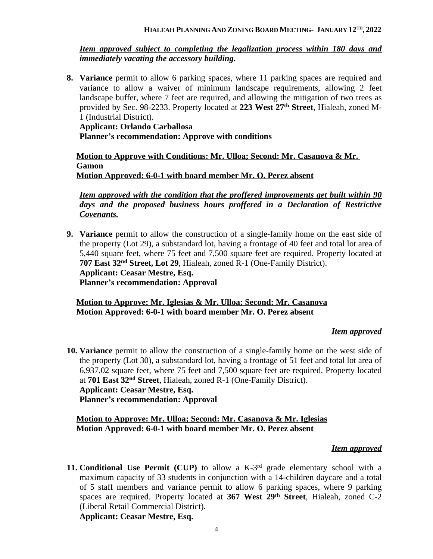#### **HIALEAH PLANNING AND ZONING BOARD MEETING- JANUARY 12TH , 2022**

#### *Item approved subject to completing the legalization process within 180 days and immediately vacating the accessory building.*

**8. Variance** permit to allow 6 parking spaces, where 11 parking spaces are required and variance to allow a waiver of minimum landscape requirements, allowing 2 feet landscape buffer, where 7 feet are required, and allowing the mitigation of two trees as provided by Sec. 98-2233. Property located at **223 West 27th Street**, Hialeah, zoned M-1 (Industrial District).

**Applicant: Orlando Carballosa Planner's recommendation: Approve with conditions**

**Motion to Approve with Conditions: Mr. Ulloa; Second: Mr. Casanova & Mr. Gamon Motion Approved: 6-0-1 with board member Mr. O. Perez absent**

*Item approved with the condition that the proffered improvements get built within 90 days and the proposed business hours proffered in a Declaration of Restrictive Covenants.*

**9. Variance** permit to allow the construction of a single-family home on the east side of the property (Lot 29), a substandard lot, having a frontage of 40 feet and total lot area of 5,440 square feet, where 75 feet and 7,500 square feet are required. Property located at **707 East 32nd Street, Lot 29**, Hialeah, zoned R-1 (One-Family District). **Applicant: Ceasar Mestre, Esq. Planner's recommendation: Approval**

#### **Motion to Approve: Mr. Iglesias & Mr. Ulloa; Second: Mr. Casanova Motion Approved: 6-0-1 with board member Mr. O. Perez absent**

#### *Item approved*

**10. Variance** permit to allow the construction of a single-family home on the west side of the property (Lot 30), a substandard lot, having a frontage of 51 feet and total lot area of 6,937.02 square feet, where 75 feet and 7,500 square feet are required. Property located at **701 East 32nd Street**, Hialeah, zoned R-1 (One-Family District). **Applicant: Ceasar Mestre, Esq. Planner's recommendation: Approval**

### **Motion to Approve: Mr. Ulloa; Second: Mr. Casanova & Mr. Iglesias Motion Approved: 6-0-1 with board member Mr. O. Perez absent**

#### *Item approved*

**11. Conditional Use Permit (CUP)** to allow a K-3rd grade elementary school with a maximum capacity of 33 students in conjunction with a 14-children daycare and a total of 5 staff members and variance permit to allow 6 parking spaces, where 9 parking spaces are required. Property located at **367 West 29th Street**, Hialeah, zoned C-2 (Liberal Retail Commercial District).

**Applicant: Ceasar Mestre, Esq.**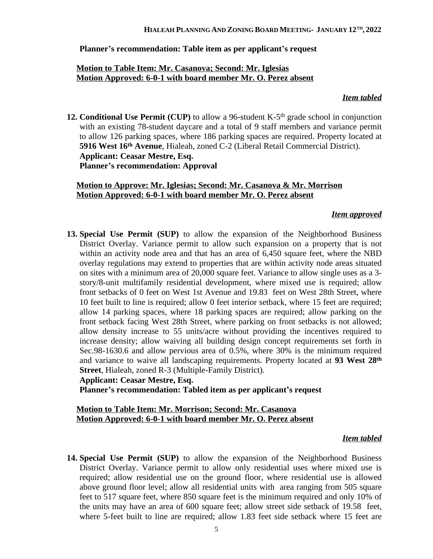### **Planner's recommendation: Table item as per applicant's request**

# **Motion to Table Item: Mr. Casanova; Second: Mr. Iglesias Motion Approved: 6-0-1 with board member Mr. O. Perez absent**

#### *Item tabled*

**12. Conditional Use Permit (CUP)** to allow a 96-student K-5th grade school in conjunction with an existing 78-student daycare and a total of 9 staff members and variance permit to allow 126 parking spaces, where 186 parking spaces are required. Property located at **5916 West 16th Avenue**, Hialeah, zoned C-2 (Liberal Retail Commercial District). **Applicant: Ceasar Mestre, Esq. Planner's recommendation: Approval**

### **Motion to Approve: Mr. Iglesias; Second: Mr. Casanova & Mr. Morrison Motion Approved: 6-0-1 with board member Mr. O. Perez absent**

## *Item approved*

**13. Special Use Permit (SUP)** to allow the expansion of the Neighborhood Business District Overlay. Variance permit to allow such expansion on a property that is not within an activity node area and that has an area of 6,450 square feet, where the NBD overlay regulations may extend to properties that are within activity node areas situated on sites with a minimum area of 20,000 square feet. Variance to allow single uses as a 3 story/8-unit multifamily residential development, where mixed use is required; allow front setbacks of 0 feet on West 1st Avenue and 19.83 feet on West 28th Street, where 10 feet built to line is required; allow 0 feet interior setback, where 15 feet are required; allow 14 parking spaces, where 18 parking spaces are required; allow parking on the front setback facing West 28th Street, where parking on front setbacks is not allowed; allow density increase to 55 units/acre without providing the incentives required to increase density; allow waiving all building design concept requirements set forth in Sec.98-1630.6 and allow pervious area of 0.5%, where 30% is the minimum required and variance to waive all landscaping requirements. Property located at **93 West 28th Street**, Hialeah, zoned R-3 (Multiple-Family District). **Applicant: Ceasar Mestre, Esq.**

**Planner's recommendation: Tabled item as per applicant's request**

#### **Motion to Table Item: Mr. Morrison; Second: Mr. Casanova Motion Approved: 6-0-1 with board member Mr. O. Perez absent**

#### *Item tabled*

**14. Special Use Permit (SUP)** to allow the expansion of the Neighborhood Business District Overlay. Variance permit to allow only residential uses where mixed use is required; allow residential use on the ground floor, where residential use is allowed above ground floor level; allow all residential units with area ranging from 505 square feet to 517 square feet, where 850 square feet is the minimum required and only 10% of the units may have an area of 600 square feet; allow street side setback of 19.58 feet, where 5-feet built to line are required; allow 1.83 feet side setback where 15 feet are